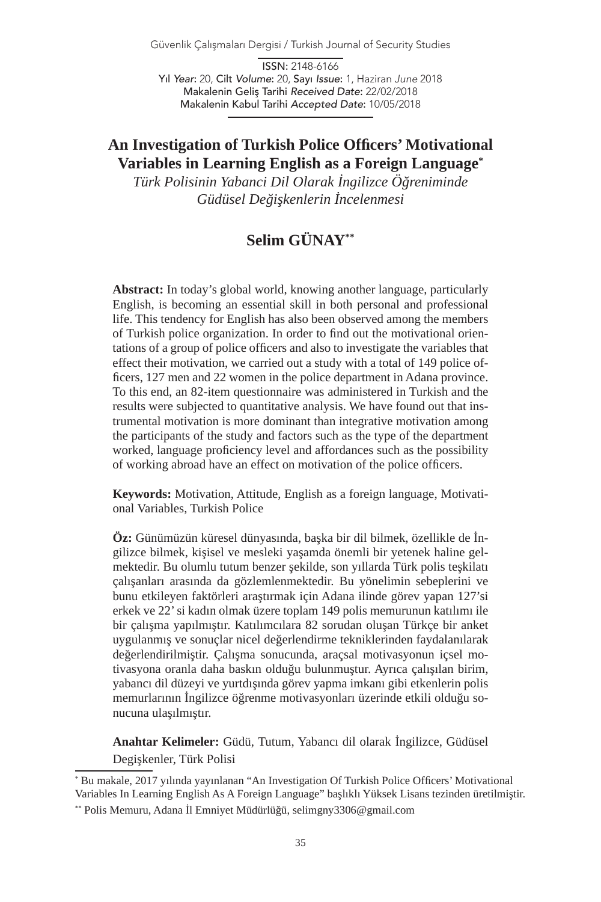Güvenlik Çalışmaları Dergisi / Turkish Journal of Security Studies

ISSN: 2148-6166 Yıl *Year*: 20, Cilt *Volume*: 20, Sayı *Issue*: 1, Haziran *June* 2018 Makalenin Geliş Tarihi *Received Date*: 22/02/2018 Makalenin Kabul Tarihi *Accepted Date*: 10/05/2018

## **An Investigation of Turkish Police Officers' Motivational Variables in Learning English as a Foreign Language\***

*Türk Polisinin Yabanci Dil Olarak İngilizce Öğreniminde Güdüsel Değişkenlerin İncelenmesi*

# **Selim GÜNAY\*\***

**Abstract:** In today's global world, knowing another language, particularly English, is becoming an essential skill in both personal and professional life. This tendency for English has also been observed among the members of Turkish police organization. In order to find out the motivational orientations of a group of police officers and also to investigate the variables that effect their motivation, we carried out a study with a total of 149 police officers, 127 men and 22 women in the police department in Adana province. To this end, an 82-item questionnaire was administered in Turkish and the results were subjected to quantitative analysis. We have found out that instrumental motivation is more dominant than integrative motivation among the participants of the study and factors such as the type of the department worked, language proficiency level and affordances such as the possibility of working abroad have an effect on motivation of the police officers.

**Keywords:** Motivation, Attitude, English as a foreign language, Motivational Variables, Turkish Police

**Öz:** Günümüzün küresel dünyasında, başka bir dil bilmek, özellikle de İngilizce bilmek, kişisel ve mesleki yaşamda önemli bir yetenek haline gelmektedir. Bu olumlu tutum benzer şekilde, son yıllarda Türk polis teşkilatı çalışanları arasında da gözlemlenmektedir. Bu yönelimin sebeplerini ve bunu etkileyen faktörleri araştırmak için Adana ilinde görev yapan 127'si erkek ve 22' si kadın olmak üzere toplam 149 polis memurunun katılımı ile bir çalışma yapılmıştır. Katılımcılara 82 sorudan oluşan Türkçe bir anket uygulanmış ve sonuçlar nicel değerlendirme tekniklerinden faydalanılarak değerlendirilmiştir. Çalışma sonucunda, araçsal motivasyonun içsel motivasyona oranla daha baskın olduğu bulunmuştur. Ayrıca çalışılan birim, yabancı dil düzeyi ve yurtdışında görev yapma imkanı gibi etkenlerin polis memurlarının İngilizce öğrenme motivasyonları üzerinde etkili olduğu sonucuna ulaşılmıştır.

**Anahtar Kelimeler:** Güdü, Tutum, Yabancı dil olarak İngilizce, Güdüsel Degişkenler, Türk Polisi

<sup>\*</sup> Bu makale, 2017 yılında yayınlanan "An Investigation Of Turkish Police Officers' Motivational Variables In Learning English As A Foreign Language" başlıklı Yüksek Lisans tezinden üretilmiştir.

<sup>\*\*</sup> Polis Memuru, Adana İl Emniyet Müdürlüğü, selimgny3306@gmail.com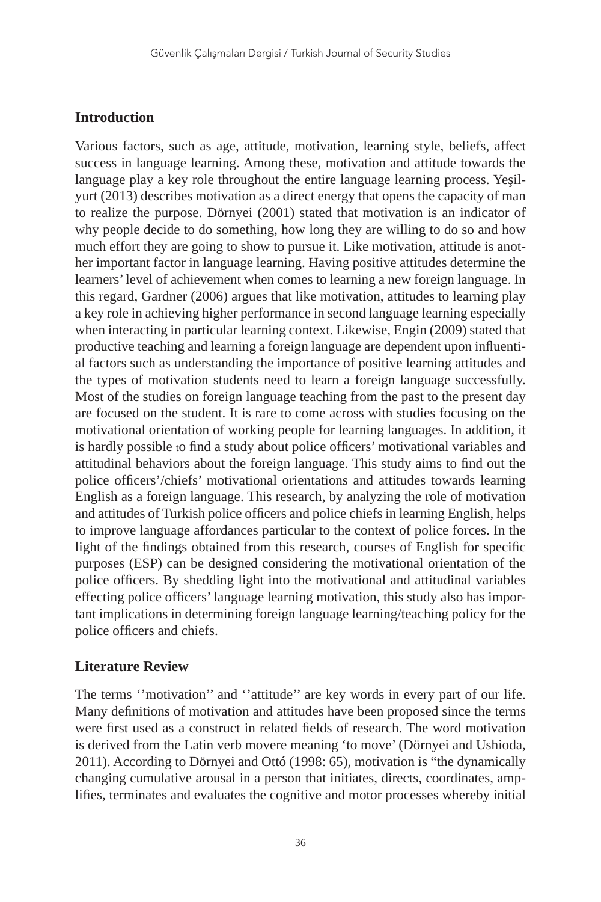## **Introduction**

Various factors, such as age, attitude, motivation, learning style, beliefs, affect success in language learning. Among these, motivation and attitude towards the language play a key role throughout the entire language learning process. Yeşilyurt (2013) describes motivation as a direct energy that opens the capacity of man to realize the purpose. Dörnyei (2001) stated that motivation is an indicator of why people decide to do something, how long they are willing to do so and how much effort they are going to show to pursue it. Like motivation, attitude is another important factor in language learning. Having positive attitudes determine the learners' level of achievement when comes to learning a new foreign language. In this regard, Gardner (2006) argues that like motivation, attitudes to learning play a key role in achieving higher performance in second language learning especially when interacting in particular learning context. Likewise, Engin (2009) stated that productive teaching and learning a foreign language are dependent upon influential factors such as understanding the importance of positive learning attitudes and the types of motivation students need to learn a foreign language successfully. Most of the studies on foreign language teaching from the past to the present day are focused on the student. It is rare to come across with studies focusing on the motivational orientation of working people for learning languages. In addition, it is hardly possible to find a study about police officers' motivational variables and attitudinal behaviors about the foreign language. This study aims to find out the police officers'/chiefs' motivational orientations and attitudes towards learning English as a foreign language. This research, by analyzing the role of motivation and attitudes of Turkish police officers and police chiefs in learning English, helps to improve language affordances particular to the context of police forces. In the light of the findings obtained from this research, courses of English for specific purposes (ESP) can be designed considering the motivational orientation of the police officers. By shedding light into the motivational and attitudinal variables effecting police officers' language learning motivation, this study also has important implications in determining foreign language learning/teaching policy for the police officers and chiefs.

## **Literature Review**

The terms "motivation" and "attitude" are key words in every part of our life. Many definitions of motivation and attitudes have been proposed since the terms were first used as a construct in related fields of research. The word motivation is derived from the Latin verb movere meaning 'to move' (Dörnyei and Ushioda, 2011). According to Dörnyei and Ottó (1998: 65), motivation is "the dynamically changing cumulative arousal in a person that initiates, directs, coordinates, amplifies, terminates and evaluates the cognitive and motor processes whereby initial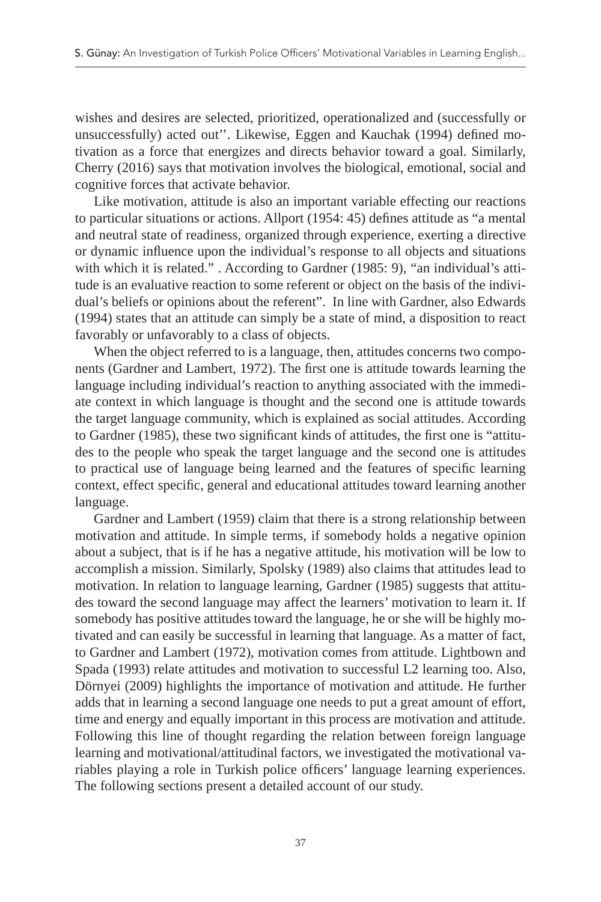wishes and desires are selected, prioritized, operationalized and (successfully or unsuccessfully) acted out''. Likewise, Eggen and Kauchak (1994) defined motivation as a force that energizes and directs behavior toward a goal. Similarly, Cherry (2016) says that motivation involves the biological, emotional, social and cognitive forces that activate behavior.

Like motivation, attitude is also an important variable effecting our reactions to particular situations or actions. Allport (1954: 45) defines attitude as "a mental and neutral state of readiness, organized through experience, exerting a directive or dynamic influence upon the individual's response to all objects and situations with which it is related." . According to Gardner (1985: 9), "an individual's attitude is an evaluative reaction to some referent or object on the basis of the individual's beliefs or opinions about the referent". In line with Gardner, also Edwards (1994) states that an attitude can simply be a state of mind, a disposition to react favorably or unfavorably to a class of objects.

When the object referred to is a language, then, attitudes concerns two components (Gardner and Lambert, 1972). The first one is attitude towards learning the language including individual's reaction to anything associated with the immediate context in which language is thought and the second one is attitude towards the target language community, which is explained as social attitudes. According to Gardner (1985), these two significant kinds of attitudes, the first one is "attitudes to the people who speak the target language and the second one is attitudes to practical use of language being learned and the features of specific learning context, effect specific, general and educational attitudes toward learning another language.

Gardner and Lambert (1959) claim that there is a strong relationship between motivation and attitude. In simple terms, if somebody holds a negative opinion about a subject, that is if he has a negative attitude, his motivation will be low to accomplish a mission. Similarly, Spolsky (1989) also claims that attitudes lead to motivation. In relation to language learning, Gardner (1985) suggests that attitudes toward the second language may affect the learners' motivation to learn it. If somebody has positive attitudes toward the language, he or she will be highly motivated and can easily be successful in learning that language. As a matter of fact, to Gardner and Lambert (1972), motivation comes from attitude. Lightbown and Spada (1993) relate attitudes and motivation to successful L2 learning too. Also, Dörnyei (2009) highlights the importance of motivation and attitude. He further adds that in learning a second language one needs to put a great amount of effort, time and energy and equally important in this process are motivation and attitude. Following this line of thought regarding the relation between foreign language learning and motivational/attitudinal factors, we investigated the motivational variables playing a role in Turkish police officers' language learning experiences. The following sections present a detailed account of our study.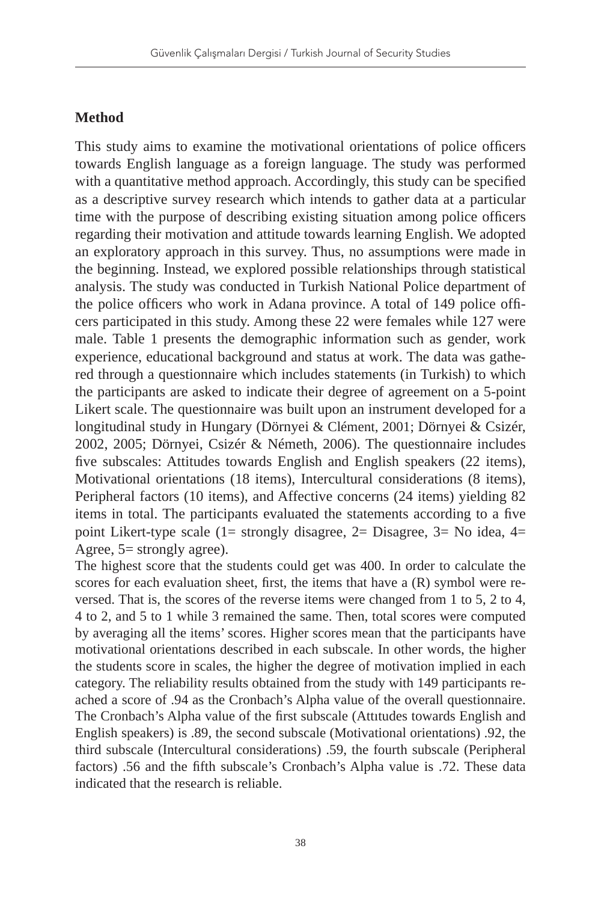## **Method**

This study aims to examine the motivational orientations of police officers towards English language as a foreign language. The study was performed with a quantitative method approach. Accordingly, this study can be specified as a descriptive survey research which intends to gather data at a particular time with the purpose of describing existing situation among police officers regarding their motivation and attitude towards learning English. We adopted an exploratory approach in this survey. Thus, no assumptions were made in the beginning. Instead, we explored possible relationships through statistical analysis. The study was conducted in Turkish National Police department of the police officers who work in Adana province. A total of 149 police officers participated in this study. Among these 22 were females while 127 were male. Table 1 presents the demographic information such as gender, work experience, educational background and status at work. The data was gathered through a questionnaire which includes statements (in Turkish) to which the participants are asked to indicate their degree of agreement on a 5-point Likert scale. The questionnaire was built upon an instrument developed for a longitudinal study in Hungary (Dörnyei & Clément, 2001; Dörnyei & Csizér, 2002, 2005; Dörnyei, Csizér & Németh, 2006). The questionnaire includes five subscales: Attitudes towards English and English speakers (22 items), Motivational orientations (18 items), Intercultural considerations (8 items), Peripheral factors (10 items), and Affective concerns (24 items) yielding 82 items in total. The participants evaluated the statements according to a five point Likert-type scale (1= strongly disagree, 2= Disagree, 3= No idea, 4= Agree, 5= strongly agree).

The highest score that the students could get was 400. In order to calculate the scores for each evaluation sheet, first, the items that have a (R) symbol were reversed. That is, the scores of the reverse items were changed from 1 to 5, 2 to 4, 4 to 2, and 5 to 1 while 3 remained the same. Then, total scores were computed by averaging all the items' scores. Higher scores mean that the participants have motivational orientations described in each subscale. In other words, the higher the students score in scales, the higher the degree of motivation implied in each category. The reliability results obtained from the study with 149 participants reached a score of .94 as the Cronbach's Alpha value of the overall questionnaire. The Cronbach's Alpha value of the first subscale (Attıtudes towards English and English speakers) is .89, the second subscale (Motivational orientations) .92, the third subscale (Intercultural considerations) .59, the fourth subscale (Peripheral factors) .56 and the fifth subscale's Cronbach's Alpha value is .72. These data indicated that the research is reliable.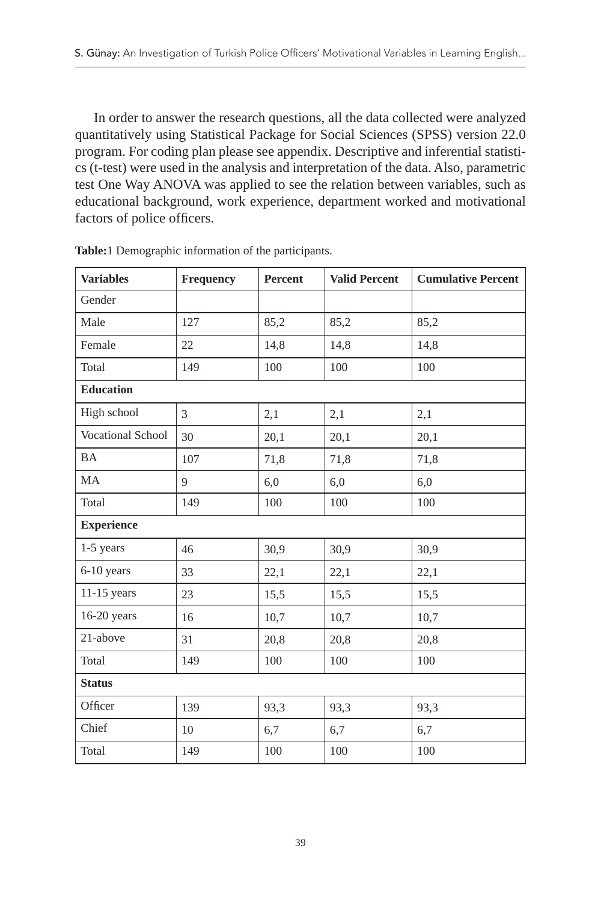In order to answer the research questions, all the data collected were analyzed quantitatively using Statistical Package for Social Sciences (SPSS) version 22.0 program. For coding plan please see appendix. Descriptive and inferential statistics (t-test) were used in the analysis and interpretation of the data. Also, parametric test One Way ANOVA was applied to see the relation between variables, such as educational background, work experience, department worked and motivational factors of police officers.

| <b>Variables</b>  | Frequency | Percent | <b>Valid Percent</b> | <b>Cumulative Percent</b> |  |  |  |  |
|-------------------|-----------|---------|----------------------|---------------------------|--|--|--|--|
| Gender            |           |         |                      |                           |  |  |  |  |
| Male              | 127       | 85,2    | 85,2                 | 85,2                      |  |  |  |  |
| Female            | 22        | 14,8    | 14,8                 | 14,8                      |  |  |  |  |
| Total             | 149       | 100     | 100                  | 100                       |  |  |  |  |
| <b>Education</b>  |           |         |                      |                           |  |  |  |  |
| High school       | 3         | 2,1     | 2,1                  | 2,1                       |  |  |  |  |
| Vocational School | 30        | 20,1    | 20,1                 | 20,1                      |  |  |  |  |
| <b>BA</b>         | 107       | 71,8    | 71,8                 | 71,8                      |  |  |  |  |
| MA                | 9         | 6,0     | 6,0                  | 6,0                       |  |  |  |  |
| Total             | 149       | 100     | 100                  | 100                       |  |  |  |  |
| <b>Experience</b> |           |         |                      |                           |  |  |  |  |
| 1-5 years         | 46        | 30,9    | 30,9                 | 30,9                      |  |  |  |  |
| 6-10 years        | 33        | 22,1    | 22,1                 | 22,1                      |  |  |  |  |
| $11-15$ years     | 23        | 15,5    | 15,5                 | 15,5                      |  |  |  |  |
| $16-20$ years     | 16        | 10,7    | 10,7                 | 10,7                      |  |  |  |  |
| 21-above          | 31        | 20,8    | 20,8                 | 20,8                      |  |  |  |  |
| Total             | 149       | 100     | 100                  | 100                       |  |  |  |  |
| <b>Status</b>     |           |         |                      |                           |  |  |  |  |
| Officer           | 139       | 93,3    | 93,3                 | 93,3                      |  |  |  |  |
| Chief             | 10        | 6,7     | 6,7                  | 6,7                       |  |  |  |  |
| Total             | 149       | 100     | 100                  | 100                       |  |  |  |  |

**Table:**1 Demographic information of the participants.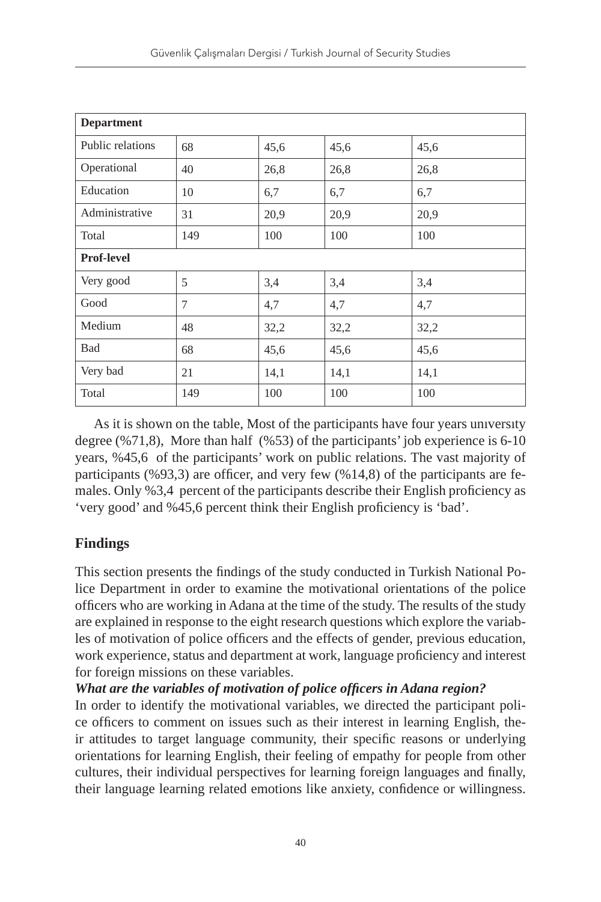| <b>Department</b> |     |      |      |      |  |  |  |
|-------------------|-----|------|------|------|--|--|--|
| Public relations  | 68  | 45,6 | 45,6 | 45,6 |  |  |  |
| Operational       | 40  | 26,8 | 26,8 | 26,8 |  |  |  |
| Education         | 10  | 6,7  | 6,7  | 6,7  |  |  |  |
| Administrative    | 31  | 20,9 | 20,9 | 20,9 |  |  |  |
| Total             | 149 | 100  | 100  | 100  |  |  |  |
| <b>Prof-level</b> |     |      |      |      |  |  |  |
| Very good         | 5   | 3,4  | 3,4  | 3,4  |  |  |  |
| Good              | 7   | 4,7  | 4,7  | 4,7  |  |  |  |
| Medium            | 48  | 32,2 | 32,2 | 32,2 |  |  |  |
| <b>Bad</b>        | 68  | 45,6 | 45,6 | 45,6 |  |  |  |
| Very bad          | 21  | 14,1 | 14,1 | 14,1 |  |  |  |
| Total             | 149 | 100  | 100  | 100  |  |  |  |

As it is shown on the table, Most of the participants have four years unıversıty degree (%71,8), More than half (%53) of the participants' job experience is 6-10 years, %45,6 of the participants' work on public relations. The vast majority of participants (%93,3) are officer, and very few (%14,8) of the participants are females. Only %3,4 percent of the participants describe their English proficiency as 'very good' and %45,6 percent think their English proficiency is 'bad'.

## **Findings**

This section presents the findings of the study conducted in Turkish National Police Department in order to examine the motivational orientations of the police officers who are working in Adana at the time of the study. The results of the study are explained in response to the eight research questions which explore the variables of motivation of police officers and the effects of gender, previous education, work experience, status and department at work, language proficiency and interest for foreign missions on these variables.

*What are the variables of motivation of police officers in Adana region?* In order to identify the motivational variables, we directed the participant police officers to comment on issues such as their interest in learning English, their attitudes to target language community, their specific reasons or underlying orientations for learning English, their feeling of empathy for people from other cultures, their individual perspectives for learning foreign languages and finally, their language learning related emotions like anxiety, confidence or willingness.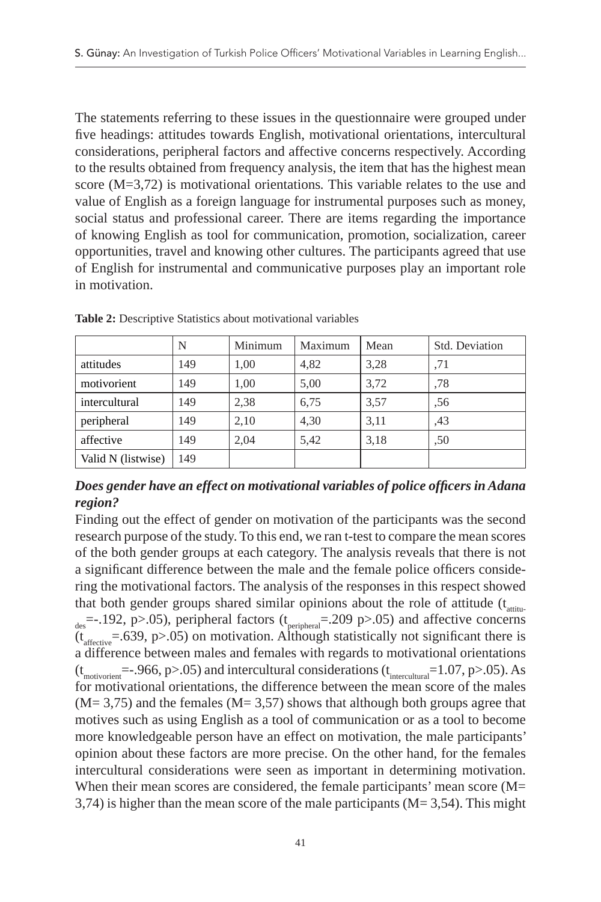The statements referring to these issues in the questionnaire were grouped under five headings: attitudes towards English, motivational orientations, intercultural considerations, peripheral factors and affective concerns respectively. According to the results obtained from frequency analysis, the item that has the highest mean score (M=3,72) is motivational orientations*.* This variable relates to the use and value of English as a foreign language for instrumental purposes such as money, social status and professional career. There are items regarding the importance of knowing English as tool for communication, promotion, socialization, career opportunities, travel and knowing other cultures. The participants agreed that use of English for instrumental and communicative purposes play an important role in motivation.

|                    | N   | Minimum | Maximum | Mean | Std. Deviation |
|--------------------|-----|---------|---------|------|----------------|
| attitudes          | 149 | 1,00    | 4,82    | 3,28 | .71            |
| motivorient        | 149 | 1,00    | 5,00    | 3,72 | ,78            |
| intercultural      | 149 | 2,38    | 6,75    | 3,57 | .56            |
| peripheral         | 149 | 2,10    | 4,30    | 3,11 | .43            |
| affective          | 149 | 2,04    | 5,42    | 3,18 | .50            |
| Valid N (listwise) | 149 |         |         |      |                |

**Table 2:** Descriptive Statistics about motivational variables

## *Does gender have an effect on motivational variables of police officers in Adana region?*

Finding out the effect of gender on motivation of the participants was the second research purpose of the study. To this end, we ran t-test to compare the mean scores of the both gender groups at each category. The analysis reveals that there is not a significant difference between the male and the female police officers considering the motivational factors. The analysis of the responses in this respect showed that both gender groups shared similar opinions about the role of attitude  $(t_{\text{atfin}})$  $_{\text{des}}$  =-.192, p>.05), peripheral factors (t<sub>peripheral</sub> = 209 p>.05) and affective concerns  $(t<sub>afterive</sub> = .639, p > .05)$  on motivation. Although statistically not significant there is a difference between males and females with regards to motivational orientations  $(t<sub>motionient</sub>=-.966, p>.05)$  and intercultural considerations  $(t<sub>interculural</sub>=1.07, p>.05)$ . As for motivational orientations, the difference between the mean score of the males  $(M= 3,75)$  and the females  $(M= 3,57)$  shows that although both groups agree that motives such as using English as a tool of communication or as a tool to become more knowledgeable person have an effect on motivation, the male participants' opinion about these factors are more precise. On the other hand, for the females intercultural considerations were seen as important in determining motivation. When their mean scores are considered, the female participants' mean score (M= 3,74) is higher than the mean score of the male participants (M= 3,54). This might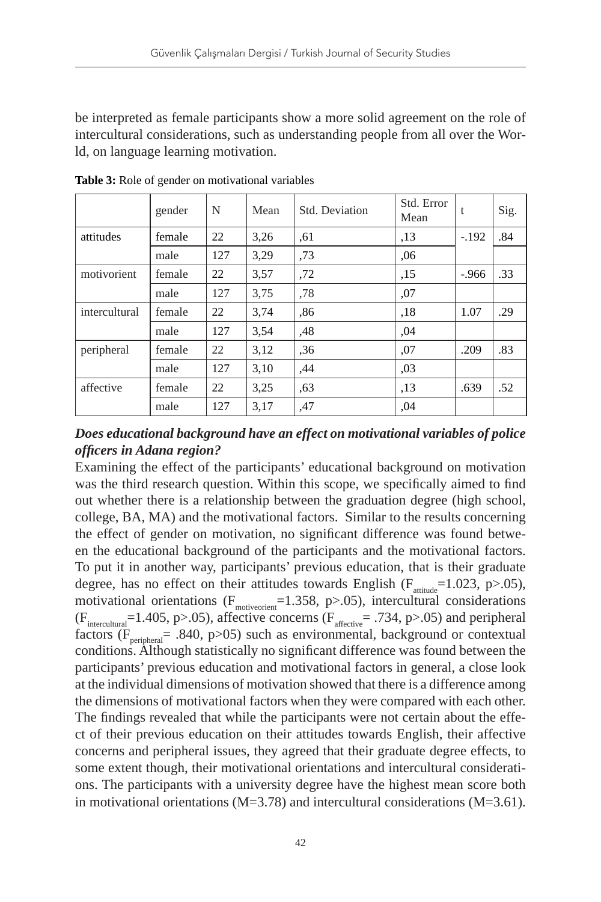be interpreted as female participants show a more solid agreement on the role of intercultural considerations, such as understanding people from all over the World, on language learning motivation.

|               | gender | N   | Mean | Std. Deviation | Std. Error<br>Mean | t       | Sig. |
|---------------|--------|-----|------|----------------|--------------------|---------|------|
| attitudes     | female | 22  | 3,26 | .61            | ,13                | $-.192$ | .84  |
|               | male   | 127 | 3,29 | ,73            | .06                |         |      |
| motivorient   | female | 22  | 3,57 | ,72            | ,15                | $-.966$ | .33  |
|               | male   | 127 | 3,75 | ,78            | ,07                |         |      |
| intercultural | female | 22  | 3,74 | .86            | ,18                | 1.07    | .29  |
|               | male   | 127 | 3,54 | ,48            | .04                |         |      |
| peripheral    | female | 22  | 3,12 | .36            | ,07                | .209    | .83  |
|               | male   | 127 | 3,10 | ,44            | .03                |         |      |
| affective     | female | 22  | 3,25 | .63            | ,13                | .639    | .52  |
|               | male   | 127 | 3,17 | ,47            | .04                |         |      |

**Table 3:** Role of gender on motivational variables

#### *Does educational background have an effect on motivational variables of police officers in Adana region?*

Examining the effect of the participants' educational background on motivation was the third research question. Within this scope, we specifically aimed to find out whether there is a relationship between the graduation degree (high school, college, BA, MA) and the motivational factors. Similar to the results concerning the effect of gender on motivation, no significant difference was found between the educational background of the participants and the motivational factors. To put it in another way, participants' previous education, that is their graduate degree, has no effect on their attitudes towards English ( $F_{\text{artimate}}$ =1.023, p>.05), motivational orientations  $(F_{\text{motion}}=1.358, p>0.05)$ , intercultural considerations  $(F_{intercultural} = 1.405, p > .05)$ , affective concerns  $(F_{afterive} = .734, p > .05)$  and peripheral factors ( $F_{\text{peripheral}}$  = .840, p>05) such as environmental, background or contextual conditions. Although statistically no significant difference was found between the participants' previous education and motivational factors in general, a close look at the individual dimensions of motivation showed that there is a difference among the dimensions of motivational factors when they were compared with each other. The findings revealed that while the participants were not certain about the effect of their previous education on their attitudes towards English, their affective concerns and peripheral issues, they agreed that their graduate degree effects, to some extent though, their motivational orientations and intercultural considerations. The participants with a university degree have the highest mean score both in motivational orientations ( $M=3.78$ ) and intercultural considerations ( $M=3.61$ ).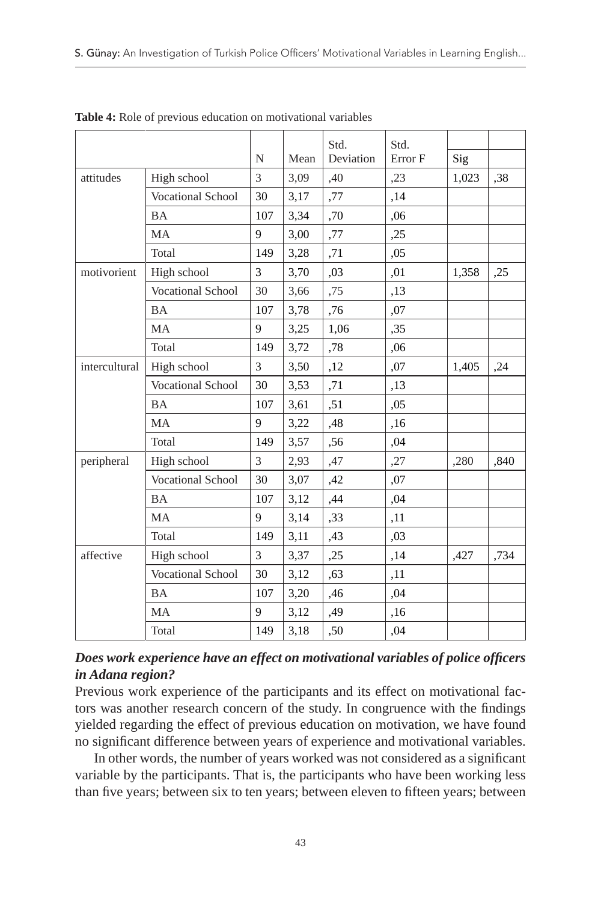|               |                          |     |      | Std.      | Std.    |       |      |
|---------------|--------------------------|-----|------|-----------|---------|-------|------|
|               |                          | N   | Mean | Deviation | Error F | Sig   |      |
| attitudes     | High school              | 3   | 3,09 | ,40       | ,23     | 1,023 | ,38  |
|               | <b>Vocational School</b> | 30  | 3,17 | ,77       | ,14     |       |      |
|               | <b>BA</b>                | 107 | 3,34 | ,70       | ,06     |       |      |
|               | MA                       | 9   | 3,00 | ,77       | ,25     |       |      |
|               | Total                    | 149 | 3,28 | ,71       | ,05     |       |      |
| motivorient   | High school              | 3   | 3,70 | ,03       | ,01     | 1,358 | ,25  |
|               | Vocational School        | 30  | 3,66 | ,75       | ,13     |       |      |
|               | <b>BA</b>                | 107 | 3,78 | ,76       | ,07     |       |      |
|               | MA                       | 9   | 3,25 | 1,06      | ,35     |       |      |
|               | Total                    | 149 | 3,72 | ,78       | .06     |       |      |
| intercultural | High school              | 3   | 3,50 | ,12       | ,07     | 1,405 | ,24  |
|               | Vocational School        | 30  | 3,53 | ,71       | ,13     |       |      |
|               | <b>BA</b>                | 107 | 3,61 | ,51       | ,05     |       |      |
|               | <b>MA</b>                | 9   | 3,22 | ,48       | ,16     |       |      |
|               | Total                    | 149 | 3,57 | ,56       | ,04     |       |      |
| peripheral    | High school              | 3   | 2,93 | ,47       | ,27     | ,280  | ,840 |
|               | <b>Vocational School</b> | 30  | 3,07 | ,42       | ,07     |       |      |
|               | <b>BA</b>                | 107 | 3,12 | ,44       | ,04     |       |      |
|               | MA                       | 9   | 3,14 | ,33       | ,11     |       |      |
|               | Total                    | 149 | 3,11 | ,43       | ,03     |       |      |
| affective     | High school              | 3   | 3,37 | ,25       | ,14     | ,427  | ,734 |
|               | <b>Vocational School</b> | 30  | 3,12 | ,63       | ,11     |       |      |
|               | <b>BA</b>                | 107 | 3,20 | ,46       | ,04     |       |      |
|               | <b>MA</b>                | 9   | 3,12 | ,49       | ,16     |       |      |
|               | Total                    | 149 | 3,18 | ,50       | ,04     |       |      |

**Table 4:** Role of previous education on motivational variables

## *Does work experience have an effect on motivational variables of police officers in Adana region?*

Previous work experience of the participants and its effect on motivational factors was another research concern of the study. In congruence with the findings yielded regarding the effect of previous education on motivation, we have found no significant difference between years of experience and motivational variables.

In other words, the number of years worked was not considered as a significant variable by the participants. That is, the participants who have been working less than five years; between six to ten years; between eleven to fifteen years; between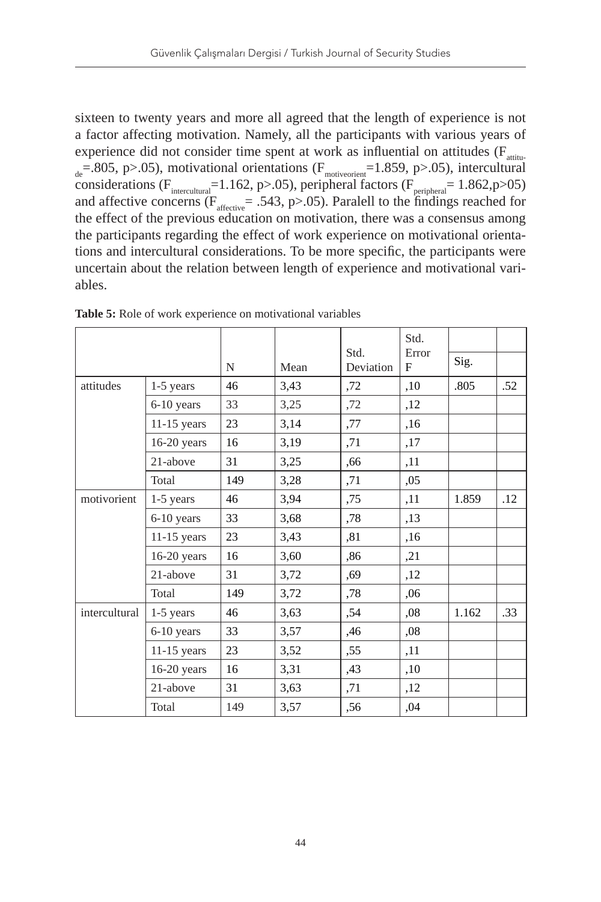sixteen to twenty years and more all agreed that the length of experience is not a factor affecting motivation. Namely, all the participants with various years of experience did not consider time spent at work as influential on attitudes ( $F_{\text{atfin}}$  $d_{\text{de}}$ =.805, p>.05), motivational orientations (F $_{\text{motoricent}}$ =1.859, p>.05), intercultural considerations (F<sub>intercultural</sub>=1.162, p>.05), peripheral factors (F<sub>peripheral</sub>= 1.862,p>05) and affective concerns ( $F_{\text{afterive}}$ = .543, p>.05). Paralell to the findings reached for the effect of the previous education on motivation, there was a consensus among the participants regarding the effect of work experience on motivational orientations and intercultural considerations. To be more specific, the participants were uncertain about the relation between length of experience and motivational variables.

|               |               |     |      |                   | Std.       |       |     |
|---------------|---------------|-----|------|-------------------|------------|-------|-----|
|               |               | N   | Mean | Std.<br>Deviation | Error<br>F | Sig.  |     |
| attitudes     | 1-5 years     | 46  | 3,43 | ,72               | ,10        | .805  | .52 |
|               | 6-10 years    | 33  | 3,25 | ,72               | ,12        |       |     |
|               | $11-15$ years | 23  | 3,14 | ,77               | ,16        |       |     |
|               | $16-20$ years | 16  | 3,19 | ,71               | ,17        |       |     |
|               | 21-above      | 31  | 3,25 | ,66               | ,11        |       |     |
|               | Total         | 149 | 3,28 | ,71               | ,05        |       |     |
| motivorient   | 1-5 years     | 46  | 3,94 | ,75               | ,11        | 1.859 | .12 |
|               | 6-10 years    | 33  | 3,68 | ,78               | ,13        |       |     |
|               | $11-15$ years | 23  | 3,43 | ,81               | ,16        |       |     |
|               | $16-20$ years | 16  | 3,60 | .86               | ,21        |       |     |
|               | 21-above      | 31  | 3,72 | ,69               | ,12        |       |     |
|               | Total         | 149 | 3,72 | ,78               | ,06        |       |     |
| intercultural | 1-5 years     | 46  | 3,63 | ,54               | ,08        | 1.162 | .33 |
|               | 6-10 years    | 33  | 3,57 | ,46               | 0.08       |       |     |
|               | $11-15$ years | 23  | 3,52 | ,55               | ,11        |       |     |
|               | $16-20$ years | 16  | 3,31 | ,43               | ,10        |       |     |
|               | 21-above      | 31  | 3,63 | ,71               | ,12        |       |     |
|               | Total         | 149 | 3,57 | ,56               | ,04        |       |     |

**Table 5:** Role of work experience on motivational variables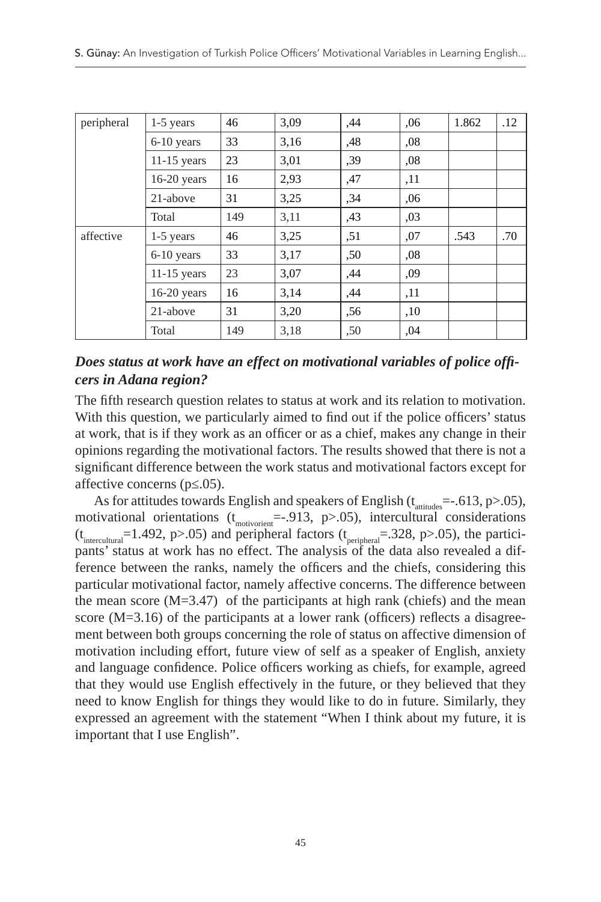| peripheral | 1-5 years     | 46  | 3,09 | ,44 | .06  | 1.862 | .12 |
|------------|---------------|-----|------|-----|------|-------|-----|
|            | 6-10 years    | 33  | 3,16 | ,48 | ,08  |       |     |
|            | $11-15$ years | 23  | 3,01 | ,39 | ,08  |       |     |
|            | $16-20$ years | 16  | 2,93 | ,47 | ,11  |       |     |
|            | 21-above      | 31  | 3,25 | ,34 | ,06  |       |     |
|            | Total         | 149 | 3,11 | ,43 | ,03  |       |     |
| affective  | 1-5 years     | 46  | 3,25 | ,51 | ,07  | .543  | .70 |
|            | 6-10 years    | 33  | 3,17 | ,50 | 0.08 |       |     |
|            | $11-15$ years | 23  | 3,07 | ,44 | ,09  |       |     |
|            | $16-20$ years | 16  | 3,14 | ,44 | ,11  |       |     |
|            | 21-above      | 31  | 3,20 | ,56 | ,10  |       |     |
|            | Total         | 149 | 3,18 | ,50 | ,04  |       |     |

#### *Does status at work have an effect on motivational variables of police officers in Adana region?*

The fifth research question relates to status at work and its relation to motivation. With this question, we particularly aimed to find out if the police officers' status at work, that is if they work as an officer or as a chief, makes any change in their opinions regarding the motivational factors. The results showed that there is not a significant difference between the work status and motivational factors except for affective concerns (p≤.05).

As for attitudes towards English and speakers of English ( $t_{\text{attitudes}}$ =-.613, p>.05), motivational orientations  $(t_{\text{motionen}} = -0.913, p > 0.05)$ , intercultural considerations  $(t<sub>interculmra</sub>]$ =1.492, p>.05) and peripheral factors  $(t<sub>peripheral</sub>$ =.328, p>.05), the participants' status at work has no effect. The analysis of the data also revealed a difference between the ranks, namely the officers and the chiefs, considering this particular motivational factor, namely affective concerns. The difference between the mean score  $(M=3.47)$  of the participants at high rank (chiefs) and the mean score (M=3.16) of the participants at a lower rank (officers) reflects a disagreement between both groups concerning the role of status on affective dimension of motivation including effort, future view of self as a speaker of English, anxiety and language confidence. Police officers working as chiefs, for example, agreed that they would use English effectively in the future, or they believed that they need to know English for things they would like to do in future. Similarly, they expressed an agreement with the statement "When I think about my future, it is important that I use English".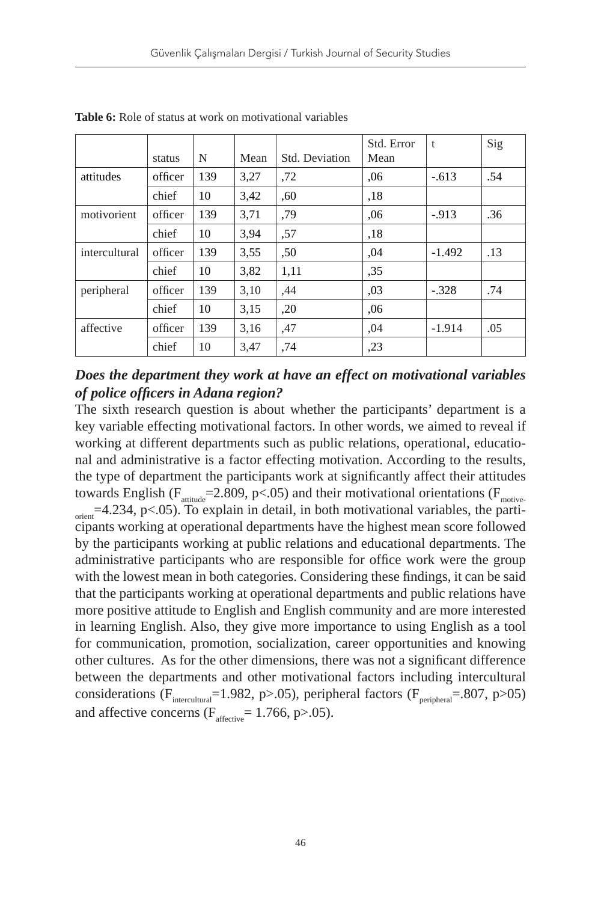|               |         |     |      |                | Std. Error | t        | Sig |
|---------------|---------|-----|------|----------------|------------|----------|-----|
|               | status  | N   | Mean | Std. Deviation | Mean       |          |     |
| attitudes     | officer | 139 | 3,27 | ,72            | .06        | $-.613$  | .54 |
|               | chief   | 10  | 3,42 | .60            | ,18        |          |     |
| motivorient   | officer | 139 | 3,71 | ,79            | .06        | $-913$   | .36 |
|               | chief   | 10  | 3,94 | ,57            | .18        |          |     |
| intercultural | officer | 139 | 3,55 | ,50            | ,04        | $-1.492$ | .13 |
|               | chief   | 10  | 3,82 | 1,11           | ,35        |          |     |
| peripheral    | officer | 139 | 3,10 | ,44            | 0.03       | $-.328$  | .74 |
|               | chief   | 10  | 3,15 | ,20            | ,06        |          |     |
| affective     | officer | 139 | 3,16 | ,47            | ,04        | $-1.914$ | .05 |
|               | chief   | 10  | 3,47 | ,74            | ,23        |          |     |

**Table 6:** Role of status at work on motivational variables

#### *Does the department they work at have an effect on motivational variables of police officers in Adana region?*

The sixth research question is about whether the participants' department is a key variable effecting motivational factors. In other words, we aimed to reveal if working at different departments such as public relations, operational, educational and administrative is a factor effecting motivation. According to the results, the type of department the participants work at significantly affect their attitudes towards English ( $F_{\text{artitude}}$ =2.809, p<.05) and their motivational orientations ( $F_{\text{motive}}$ - $\frac{1}{\text{orient}}$ =4.234, p<.05). To explain in detail, in both motivational variables, the participants working at operational departments have the highest mean score followed by the participants working at public relations and educational departments. The administrative participants who are responsible for office work were the group with the lowest mean in both categories. Considering these findings, it can be said that the participants working at operational departments and public relations have more positive attitude to English and English community and are more interested in learning English. Also, they give more importance to using English as a tool for communication, promotion, socialization, career opportunities and knowing other cultures. As for the other dimensions, there was not a significant difference between the departments and other motivational factors including intercultural considerations ( $F_{intercutural}$ =1.982, p>.05), peripheral factors ( $F_{peripheral}$ =.807, p>05) and affective concerns  $(F<sub>afteritive</sub> = 1.766, p > .05)$ .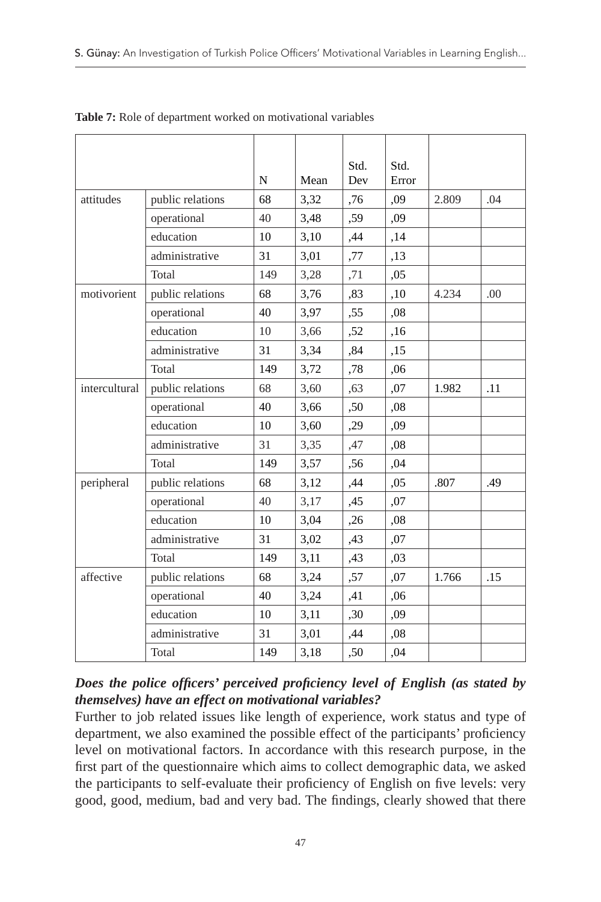|               |                  | N   | Mean | Std.<br>Dev | Std.<br>Error |       |     |
|---------------|------------------|-----|------|-------------|---------------|-------|-----|
| attitudes     | public relations | 68  | 3,32 | ,76         | .09           | 2.809 | .04 |
|               | operational      | 40  | 3,48 | ,59         | ,09           |       |     |
|               | education        | 10  | 3,10 | ,44         | ,14           |       |     |
|               | administrative   | 31  | 3,01 | ,77         | ,13           |       |     |
|               | Total            | 149 | 3,28 | ,71         | ,05           |       |     |
| motivorient   | public relations | 68  | 3,76 | ,83         | ,10           | 4.234 | .00 |
|               | operational      | 40  | 3,97 | ,55         | ,08           |       |     |
|               | education        | 10  | 3,66 | ,52         | ,16           |       |     |
|               | administrative   | 31  | 3,34 | ,84         | ,15           |       |     |
|               | <b>Total</b>     | 149 | 3,72 | ,78         | ,06           |       |     |
| intercultural | public relations | 68  | 3,60 | ,63         | ,07           | 1.982 | .11 |
|               | operational      | 40  | 3,66 | ,50         | ,08           |       |     |
|               | education        | 10  | 3,60 | ,29         | ,09           |       |     |
|               | administrative   | 31  | 3,35 | ,47         | ,08           |       |     |
|               | Total            | 149 | 3,57 | ,56         | ,04           |       |     |
| peripheral    | public relations | 68  | 3,12 | ,44         | ,05           | .807  | .49 |
|               | operational      | 40  | 3,17 | ,45         | ,07           |       |     |
|               | education        | 10  | 3,04 | ,26         | ,08           |       |     |
|               | administrative   | 31  | 3,02 | ,43         | ,07           |       |     |
|               | Total            | 149 | 3,11 | ,43         | 03            |       |     |
| affective     | public relations | 68  | 3,24 | ,57         | ,07           | 1.766 | .15 |
|               | operational      | 40  | 3,24 | ,41         | ,06           |       |     |
|               | education        | 10  | 3,11 | ,30         | ,09           |       |     |
|               | administrative   | 31  | 3,01 | ,44         | .08           |       |     |
|               | Total            | 149 | 3,18 | ,50         | ,04           |       |     |

**Table 7:** Role of department worked on motivational variables

## *Does the police officers' perceived proficiency level of English (as stated by themselves) have an effect on motivational variables?*

Further to job related issues like length of experience, work status and type of department, we also examined the possible effect of the participants' proficiency level on motivational factors. In accordance with this research purpose, in the first part of the questionnaire which aims to collect demographic data, we asked the participants to self-evaluate their proficiency of English on five levels: very good, good, medium, bad and very bad. The findings, clearly showed that there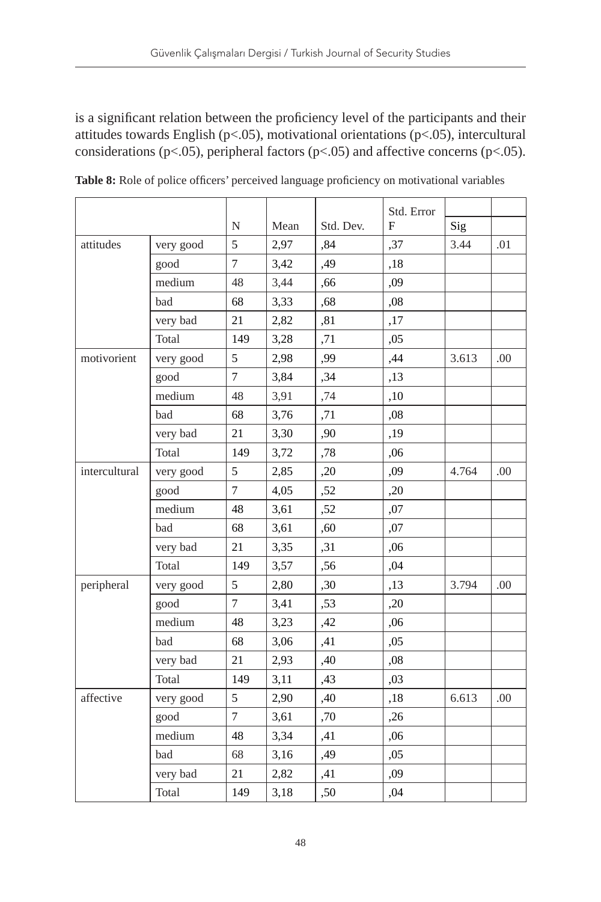is a significant relation between the proficiency level of the participants and their attitudes towards English (p<.05), motivational orientations (p<.05), intercultural considerations ( $p$ <.05), peripheral factors ( $p$ <.05) and affective concerns ( $p$ <.05).

|               |              |           |      |           | Std. Error |       |      |
|---------------|--------------|-----------|------|-----------|------------|-------|------|
|               |              | ${\bf N}$ | Mean | Std. Dev. | F          | Sig   |      |
| attitudes     | very good    | 5         | 2,97 | ,84       | ,37        | 3.44  | .01  |
|               | good         | 7         | 3,42 | ,49       | ,18        |       |      |
|               | medium       | 48        | 3,44 | ,66       | ,09        |       |      |
|               | bad          | 68        | 3,33 | ,68       | ,08        |       |      |
|               | very bad     | 21        | 2,82 | ,81       | ,17        |       |      |
|               | Total        | 149       | 3,28 | ,71       | ,05        |       |      |
| motivorient   | very good    | 5         | 2,98 | ,99       | ,44        | 3.613 | .00. |
|               | good         | 7         | 3,84 | ,34       | ,13        |       |      |
|               | medium       | 48        | 3,91 | ,74       | ,10        |       |      |
|               | bad          | 68        | 3,76 | ,71       | ,08        |       |      |
|               | very bad     | 21        | 3,30 | ,90       | ,19        |       |      |
|               | Total        | 149       | 3,72 | ,78       | ,06        |       |      |
| intercultural | very good    | 5         | 2,85 | ,20       | ,09        | 4.764 | .00  |
|               | good         | 7         | 4,05 | ,52       | ,20        |       |      |
|               | medium       | 48        | 3,61 | ,52       | ,07        |       |      |
|               | bad          | 68        | 3,61 | ,60       | ,07        |       |      |
|               | very bad     | 21        | 3,35 | ,31       | ,06        |       |      |
|               | <b>Total</b> | 149       | 3,57 | ,56       | ,04        |       |      |
| peripheral    | very good    | 5         | 2,80 | ,30       | ,13        | 3.794 | .00  |
|               | good         | 7         | 3,41 | ,53       | ,20        |       |      |
|               | medium       | 48        | 3,23 | ,42       | ,06        |       |      |
|               | bad          | 68        | 3,06 | ,41       | ,05        |       |      |
|               | very bad     | 21        | 2,93 | ,40       | ,08        |       |      |
|               | Total        | 149       | 3,11 | ,43       | ,03        |       |      |
| affective     | very good    | 5         | 2,90 | ,40       | ,18        | 6.613 | .00  |
|               | good         | 7         | 3,61 | ,70       | ,26        |       |      |
|               | medium       | 48        | 3,34 | ,41       | ,06        |       |      |
|               | bad          | 68        | 3,16 | ,49       | ,05        |       |      |
|               | very bad     | 21        | 2,82 | ,41       | ,09        |       |      |
|               | <b>Total</b> | 149       | 3,18 | ,50       | ,04        |       |      |

**Table 8:** Role of police officers' perceived language proficiency on motivational variables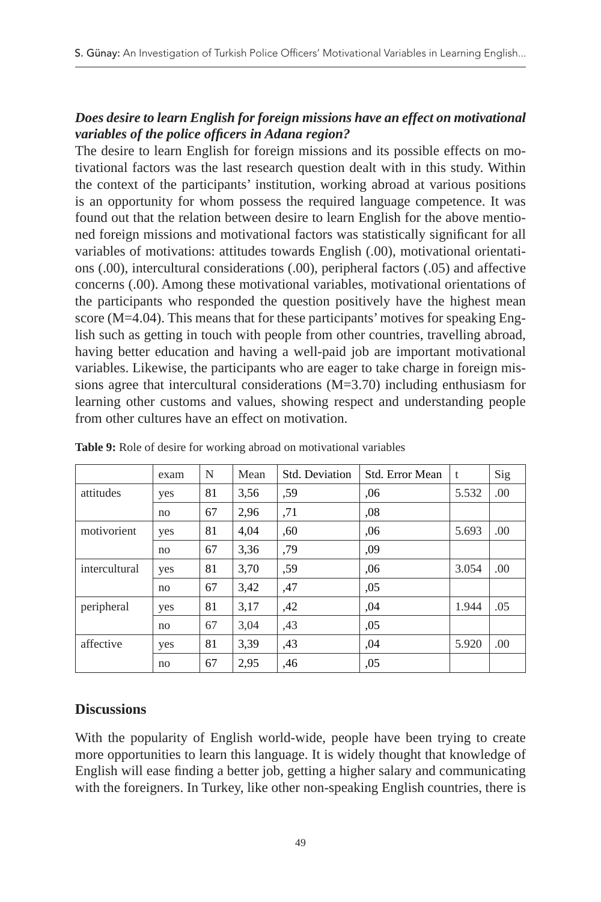#### *Does desire to learn English for foreign missions have an effect on motivational variables of the police officers in Adana region?*

The desire to learn English for foreign missions and its possible effects on motivational factors was the last research question dealt with in this study. Within the context of the participants' institution, working abroad at various positions is an opportunity for whom possess the required language competence. It was found out that the relation between desire to learn English for the above mentioned foreign missions and motivational factors was statistically significant for all variables of motivations: attitudes towards English (.00), motivational orientations (.00), intercultural considerations (.00), peripheral factors (.05) and affective concerns (.00). Among these motivational variables, motivational orientations of the participants who responded the question positively have the highest mean score (M=4.04). This means that for these participants' motives for speaking English such as getting in touch with people from other countries, travelling abroad, having better education and having a well-paid job are important motivational variables. Likewise, the participants who are eager to take charge in foreign missions agree that intercultural considerations (M=3.70) including enthusiasm for learning other customs and values, showing respect and understanding people from other cultures have an effect on motivation.

|               | exam | N  | Mean | Std. Deviation | Std. Error Mean | t     | Sig |
|---------------|------|----|------|----------------|-----------------|-------|-----|
| attitudes     | yes  | 81 | 3,56 | .59            | .06             | 5.532 | .00 |
|               | no   | 67 | 2,96 | ,71            | ,08             |       |     |
| motivorient   | yes  | 81 | 4,04 | ,60            | .06             | 5.693 | .00 |
|               | no   | 67 | 3,36 | .79            | .09             |       |     |
| intercultural | yes  | 81 | 3,70 | .59            | ,06             | 3.054 | .00 |
|               | no   | 67 | 3,42 | ,47            | ,05             |       |     |
| peripheral    | yes  | 81 | 3,17 | ,42            | .04             | 1.944 | .05 |
|               | no   | 67 | 3,04 | ,43            | ,05             |       |     |
| affective     | yes  | 81 | 3,39 | ,43            | .04             | 5.920 | .00 |
|               | no   | 67 | 2,95 | ,46            | ,05             |       |     |

**Table 9:** Role of desire for working abroad on motivational variables

#### **Discussions**

With the popularity of English world-wide, people have been trying to create more opportunities to learn this language. It is widely thought that knowledge of English will ease finding a better job, getting a higher salary and communicating with the foreigners. In Turkey, like other non-speaking English countries, there is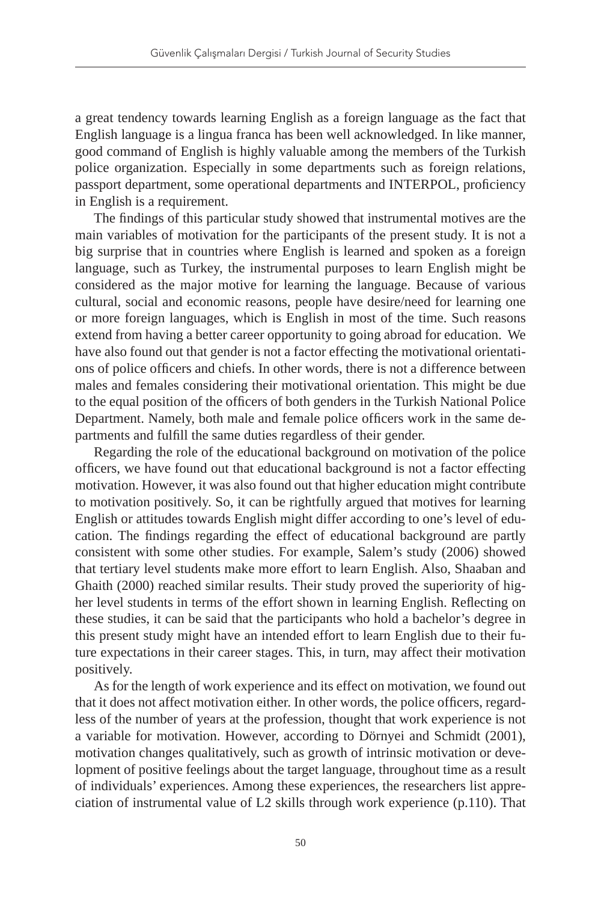a great tendency towards learning English as a foreign language as the fact that English language is a lingua franca has been well acknowledged. In like manner, good command of English is highly valuable among the members of the Turkish police organization. Especially in some departments such as foreign relations, passport department, some operational departments and INTERPOL, proficiency in English is a requirement.

The findings of this particular study showed that instrumental motives are the main variables of motivation for the participants of the present study. It is not a big surprise that in countries where English is learned and spoken as a foreign language, such as Turkey, the instrumental purposes to learn English might be considered as the major motive for learning the language. Because of various cultural, social and economic reasons, people have desire/need for learning one or more foreign languages, which is English in most of the time. Such reasons extend from having a better career opportunity to going abroad for education. We have also found out that gender is not a factor effecting the motivational orientations of police officers and chiefs. In other words, there is not a difference between males and females considering their motivational orientation. This might be due to the equal position of the officers of both genders in the Turkish National Police Department. Namely, both male and female police officers work in the same departments and fulfill the same duties regardless of their gender.

Regarding the role of the educational background on motivation of the police officers, we have found out that educational background is not a factor effecting motivation. However, it was also found out that higher education might contribute to motivation positively. So, it can be rightfully argued that motives for learning English or attitudes towards English might differ according to one's level of education. The findings regarding the effect of educational background are partly consistent with some other studies. For example, Salem's study (2006) showed that tertiary level students make more effort to learn English. Also, Shaaban and Ghaith (2000) reached similar results. Their study proved the superiority of higher level students in terms of the effort shown in learning English. Reflecting on these studies, it can be said that the participants who hold a bachelor's degree in this present study might have an intended effort to learn English due to their future expectations in their career stages. This, in turn, may affect their motivation positively.

As for the length of work experience and its effect on motivation, we found out that it does not affect motivation either. In other words, the police officers, regardless of the number of years at the profession, thought that work experience is not a variable for motivation. However, according to Dörnyei and Schmidt (2001), motivation changes qualitatively, such as growth of intrinsic motivation or development of positive feelings about the target language, throughout time as a result of individuals' experiences. Among these experiences, the researchers list appreciation of instrumental value of L2 skills through work experience (p.110). That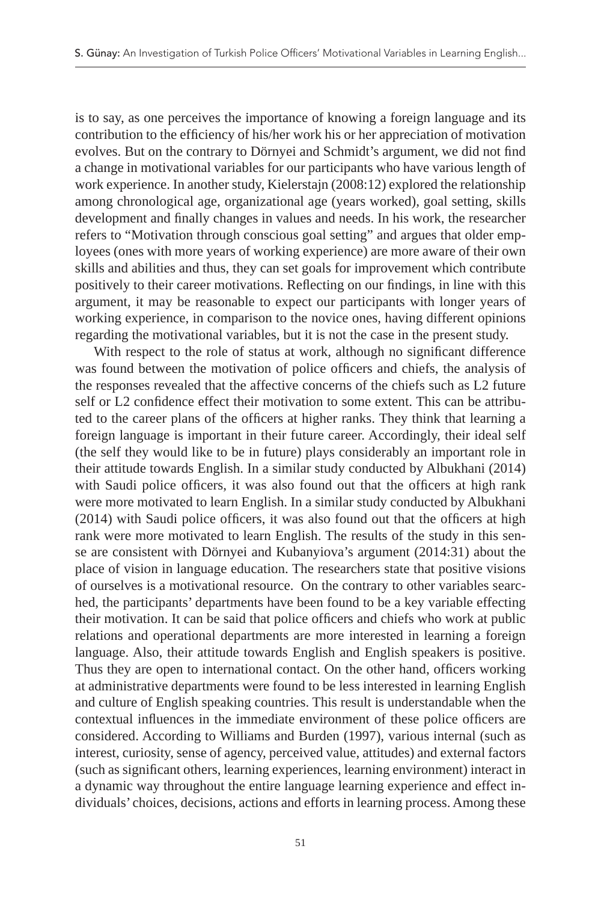is to say, as one perceives the importance of knowing a foreign language and its contribution to the efficiency of his/her work his or her appreciation of motivation evolves. But on the contrary to Dörnyei and Schmidt's argument, we did not find a change in motivational variables for our participants who have various length of work experience. In another study, Kielerstajn (2008:12) explored the relationship among chronological age, organizational age (years worked), goal setting, skills development and finally changes in values and needs. In his work, the researcher refers to "Motivation through conscious goal setting" and argues that older employees (ones with more years of working experience) are more aware of their own skills and abilities and thus, they can set goals for improvement which contribute positively to their career motivations. Reflecting on our findings, in line with this argument, it may be reasonable to expect our participants with longer years of working experience, in comparison to the novice ones, having different opinions regarding the motivational variables, but it is not the case in the present study.

With respect to the role of status at work, although no significant difference was found between the motivation of police officers and chiefs, the analysis of the responses revealed that the affective concerns of the chiefs such as L2 future self or L2 confidence effect their motivation to some extent. This can be attributed to the career plans of the officers at higher ranks. They think that learning a foreign language is important in their future career. Accordingly, their ideal self (the self they would like to be in future) plays considerably an important role in their attitude towards English. In a similar study conducted by Albukhani (2014) with Saudi police officers, it was also found out that the officers at high rank were more motivated to learn English. In a similar study conducted by Albukhani (2014) with Saudi police officers, it was also found out that the officers at high rank were more motivated to learn English. The results of the study in this sense are consistent with Dörnyei and Kubanyiova's argument (2014:31) about the place of vision in language education. The researchers state that positive visions of ourselves is a motivational resource. On the contrary to other variables searched, the participants' departments have been found to be a key variable effecting their motivation. It can be said that police officers and chiefs who work at public relations and operational departments are more interested in learning a foreign language. Also, their attitude towards English and English speakers is positive. Thus they are open to international contact. On the other hand, officers working at administrative departments were found to be less interested in learning English and culture of English speaking countries. This result is understandable when the contextual influences in the immediate environment of these police officers are considered. According to Williams and Burden (1997), various internal (such as interest, curiosity, sense of agency, perceived value, attitudes) and external factors (such as significant others, learning experiences, learning environment) interact in a dynamic way throughout the entire language learning experience and effect individuals' choices, decisions, actions and efforts in learning process. Among these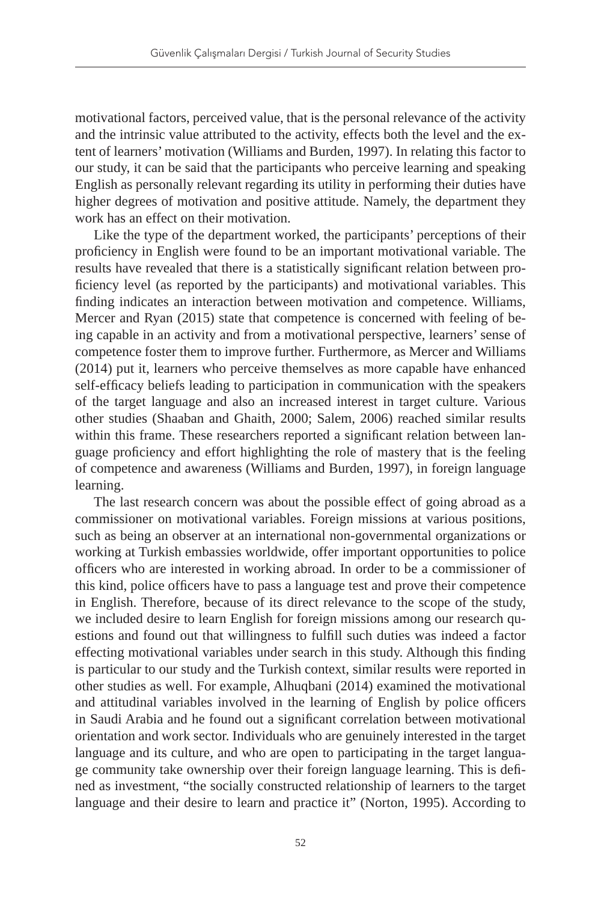motivational factors, perceived value, that is the personal relevance of the activity and the intrinsic value attributed to the activity, effects both the level and the extent of learners' motivation (Williams and Burden, 1997). In relating this factor to our study, it can be said that the participants who perceive learning and speaking English as personally relevant regarding its utility in performing their duties have higher degrees of motivation and positive attitude. Namely, the department they work has an effect on their motivation.

Like the type of the department worked, the participants' perceptions of their proficiency in English were found to be an important motivational variable. The results have revealed that there is a statistically significant relation between proficiency level (as reported by the participants) and motivational variables. This finding indicates an interaction between motivation and competence. Williams, Mercer and Ryan (2015) state that competence is concerned with feeling of being capable in an activity and from a motivational perspective, learners' sense of competence foster them to improve further. Furthermore, as Mercer and Williams (2014) put it, learners who perceive themselves as more capable have enhanced self-efficacy beliefs leading to participation in communication with the speakers of the target language and also an increased interest in target culture. Various other studies (Shaaban and Ghaith, 2000; Salem, 2006) reached similar results within this frame. These researchers reported a significant relation between language proficiency and effort highlighting the role of mastery that is the feeling of competence and awareness (Williams and Burden, 1997), in foreign language learning.

The last research concern was about the possible effect of going abroad as a commissioner on motivational variables. Foreign missions at various positions, such as being an observer at an international non-governmental organizations or working at Turkish embassies worldwide, offer important opportunities to police officers who are interested in working abroad. In order to be a commissioner of this kind, police officers have to pass a language test and prove their competence in English. Therefore, because of its direct relevance to the scope of the study, we included desire to learn English for foreign missions among our research questions and found out that willingness to fulfill such duties was indeed a factor effecting motivational variables under search in this study. Although this finding is particular to our study and the Turkish context, similar results were reported in other studies as well. For example, Alhuqbani (2014) examined the motivational and attitudinal variables involved in the learning of English by police officers in Saudi Arabia and he found out a significant correlation between motivational orientation and work sector. Individuals who are genuinely interested in the target language and its culture, and who are open to participating in the target language community take ownership over their foreign language learning. This is defined as investment, "the socially constructed relationship of learners to the target language and their desire to learn and practice it" (Norton, 1995). According to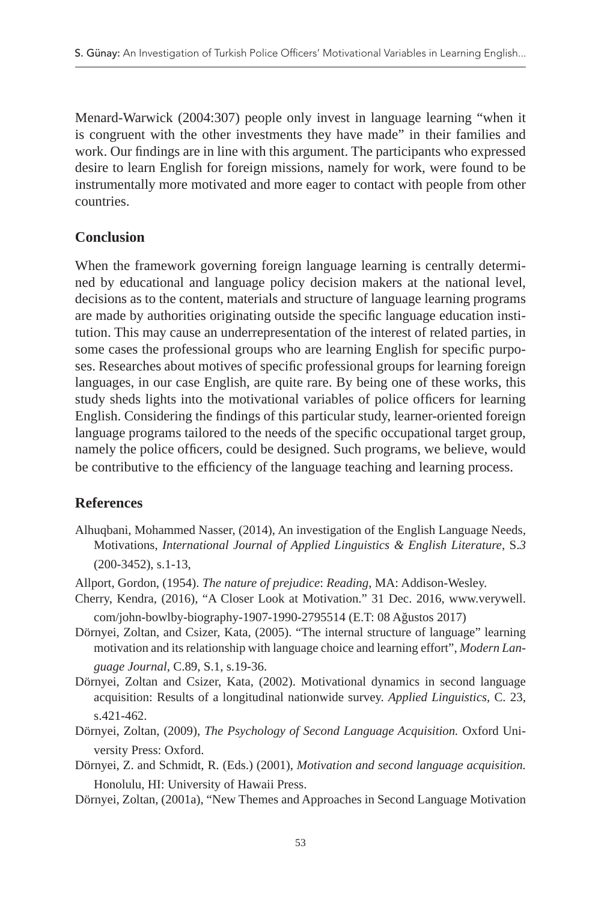Menard-Warwick (2004:307) people only invest in language learning "when it is congruent with the other investments they have made" in their families and work. Our findings are in line with this argument. The participants who expressed desire to learn English for foreign missions, namely for work, were found to be instrumentally more motivated and more eager to contact with people from other countries.

## **Conclusion**

When the framework governing foreign language learning is centrally determined by educational and language policy decision makers at the national level, decisions as to the content, materials and structure of language learning programs are made by authorities originating outside the specific language education institution. This may cause an underrepresentation of the interest of related parties, in some cases the professional groups who are learning English for specific purposes. Researches about motives of specific professional groups for learning foreign languages, in our case English, are quite rare. By being one of these works, this study sheds lights into the motivational variables of police officers for learning English. Considering the findings of this particular study, learner-oriented foreign language programs tailored to the needs of the specific occupational target group, namely the police officers, could be designed. Such programs, we believe, would be contributive to the efficiency of the language teaching and learning process.

## **References**

- Alhuqbani, Mohammed Nasser, (2014), An investigation of the English Language Needs, Motivations, *International Journal of Applied Linguistics & English Literature,* S.*3*  (200-3452), s.1-13,
- Allport, Gordon, (1954). *The nature of prejudice*: *Reading*, MA: Addison‐Wesley.
- Cherry, Kendra, (2016), "A Closer Look at Motivation." 31 Dec. 2016, www.verywell. com/john-bowlby-biography-1907-1990-2795514 (E.T: 08 Ağustos 2017)
- Dörnyei, Zoltan, and Csizer, Kata, (2005). "The internal structure of language" learning motivation and its relationship with language choice and learning effort", *Modern Language Journal*, C.89, S.1, s.19-36.
- Dörnyei, Zoltan and Csizer, Kata, (2002). Motivational dynamics in second language acquisition: Results of a longitudinal nationwide survey. *Applied Linguistics,* C. 23, s.421-462.
- Dörnyei, Zoltan, (2009), *The Psychology of Second Language Acquisition.* Oxford University Press: Oxford.
- Dörnyei, Z. and Schmidt, R. (Eds.) (2001), *Motivation and second language acquisition.* Honolulu, HI: University of Hawaii Press.
- Dörnyei, Zoltan, (2001a), "New Themes and Approaches in Second Language Motivation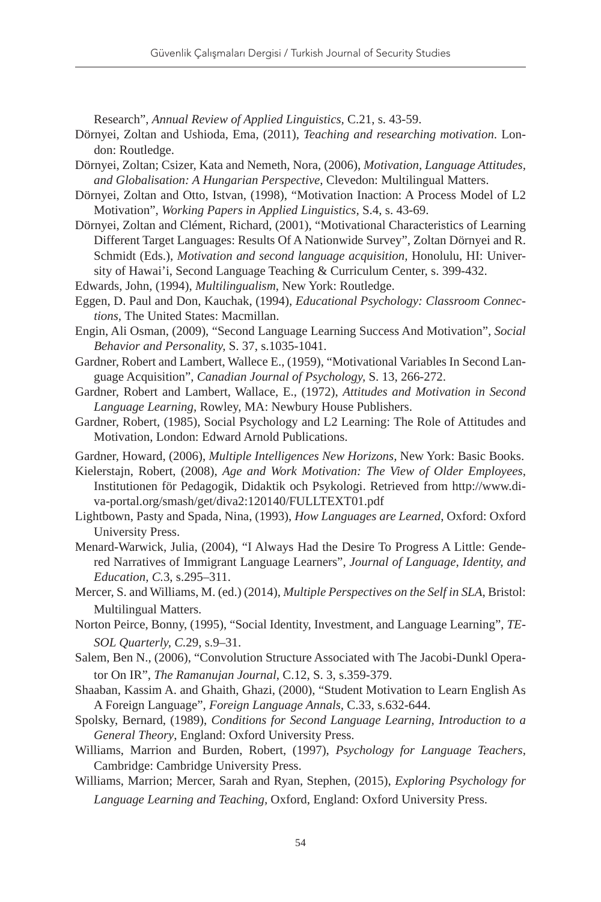Research", *Annual Review of Applied Linguistics,* C.21, s. 43-59.

- Dörnyei, Zoltan and Ushioda, Ema, (2011), *Teaching and researching motivation*. London: Routledge.
- Dörnyei, Zoltan; Csizer, Kata and Nemeth, Nora, (2006), *Motivation, Language Attitudes, and Globalisation: A Hungarian Perspective*, Clevedon: Multilingual Matters.
- Dörnyei, Zoltan and Otto, Istvan, (1998), "Motivation Inaction: A Process Model of L2 Motivation", *Working Papers in Applied Linguistics,* S.4, s. 43-69.
- Dörnyei, Zoltan and Clément, Richard, (2001), "Motivational Characteristics of Learning Different Target Languages: Results Of A Nationwide Survey", Zoltan Dörnyei and R. Schmidt (Eds.), *Motivation and second language acquisition,* Honolulu, HI: University of Hawai'i, Second Language Teaching & Curriculum Center, s. 399-432.
- Edwards, John, (1994), *Multilingualism*, New York: Routledge.
- Eggen, D. Paul and Don, Kauchak, (1994), *Educational Psychology: Classroom Connections,* The United States: Macmillan.
- Engin, Ali Osman, (2009), "Second Language Learning Success And Motivation", *Social Behavior and Personality,* S. 37, s.1035-1041.
- Gardner, Robert and Lambert, Wallece E., (1959), "Motivational Variables In Second Language Acquisition", *Canadian Journal of Psychology,* S. 13, 266-272.
- Gardner, Robert and Lambert, Wallace, E., (1972), *Attitudes and Motivation in Second Language Learning*, Rowley, MA: Newbury House Publishers.
- Gardner, Robert, (1985), Social Psychology and L2 Learning: The Role of Attitudes and Motivation, London: Edward Arnold Publications.
- Gardner, Howard, (2006), *Multiple Intelligences New Horizons,* New York: Basic Books.
- Kielerstajn, Robert, (2008), *Age and Work Motivation: The View of Older Employees*, Institutionen för Pedagogik, Didaktik och Psykologi. Retrieved from http://www.diva-portal.org/smash/get/diva2:120140/FULLTEXT01.pdf
- Lightbown, Pasty and Spada, Nina, (1993), *How Languages are Learned*, Oxford: Oxford University Press.
- Menard-Warwick, Julia, (2004), "I Always Had the Desire To Progress A Little: Gendered Narratives of Immigrant Language Learners", *Journal of Language, Identity, and Education, C.*3, s.295–311.
- Mercer, S. and Williams, M. (ed.) (2014), *Multiple Perspectives on the Self in SLA*, Bristol: Multilingual Matters.

Norton Peirce, Bonny, (1995), "Social Identity, Investment, and Language Learning", *TE-SOL Quarterly, C.*29, s.9–31.

- Salem, Ben N., (2006), "Convolution Structure Associated with The Jacobi-Dunkl Operator On IR", *The Ramanujan Journal*, C.12, S. 3, s.359-379.
- Shaaban, Kassim A. and Ghaith, Ghazi, (2000), "Student Motivation to Learn English As A Foreign Language", *Foreign Language Annals,* C.33, s.632-644.
- Spolsky, Bernard, (1989), *Conditions for Second Language Learning, Introduction to a General Theory*, England: Oxford University Press.
- Williams, Marrion and Burden, Robert, (1997), *Psychology for Language Teachers*, Cambridge: Cambridge University Press.
- Williams, Marrion; Mercer, Sarah and Ryan, Stephen, (2015), *Exploring Psychology for Language Learning and Teaching,* Oxford, England: Oxford University Press.